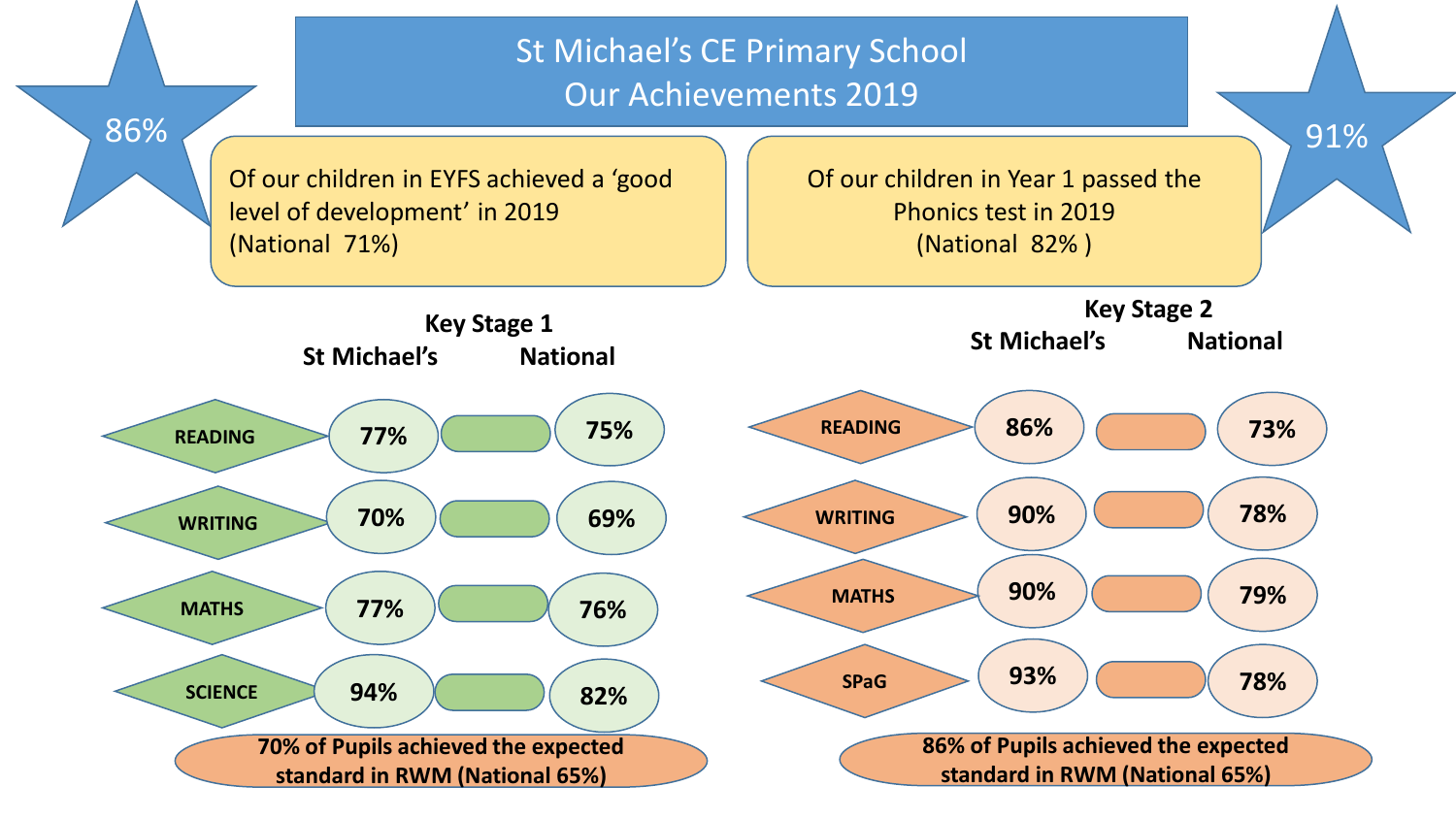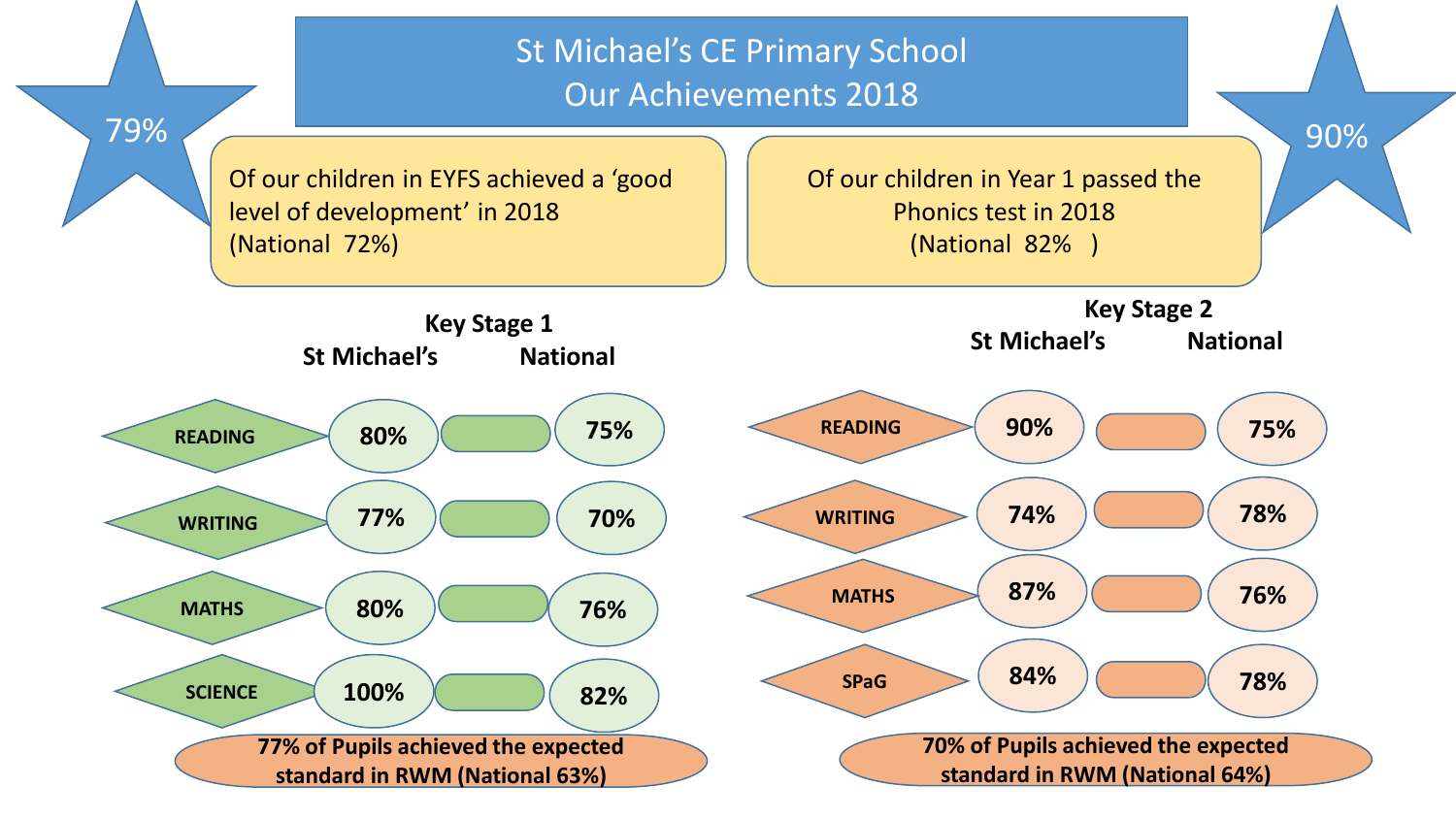